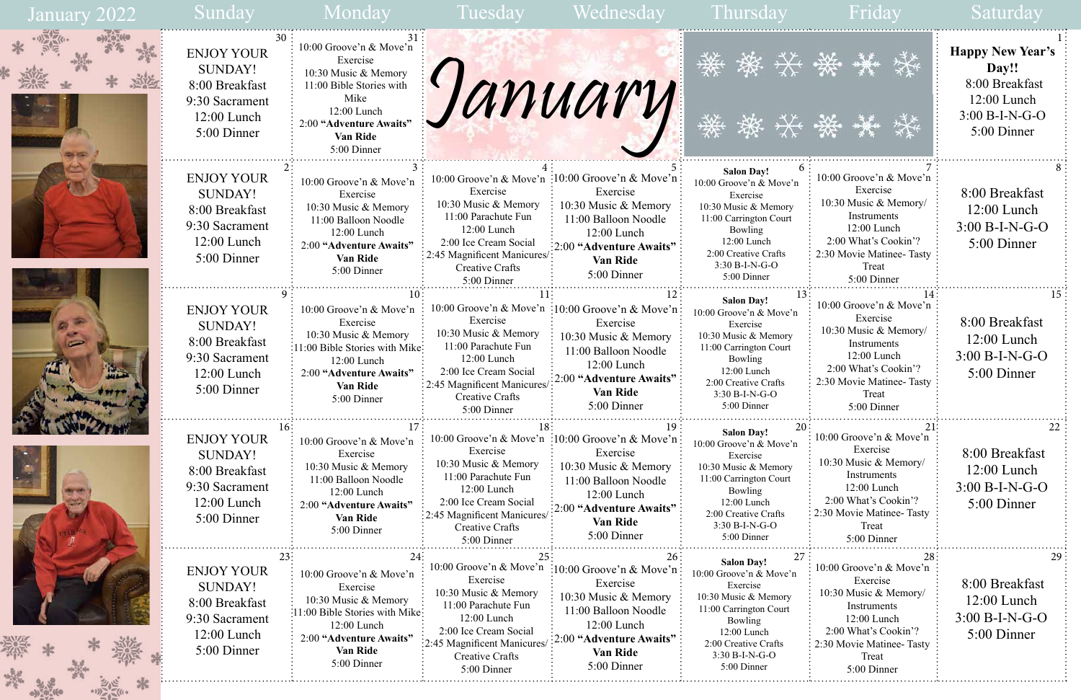|                                          | <b>Happy New Year's</b><br>Day!!<br>8:00 Breakfast<br>12:00 Lunch<br>$3:00 B-I-N-G-O$<br>5:00 Dinner |
|------------------------------------------|------------------------------------------------------------------------------------------------------|
| ve'n<br>)ry/<br>, 9<br>asty <sup>-</sup> | 8<br>8:00 Breakfast<br>$12:00$ Lunch<br>3:00 B-I-N-G-O<br>5:00 Dinner                                |
| 14                                       | 15                                                                                                   |
| ve'n                                     | 8:00 Breakfast                                                                                       |
| )ry/                                     | 12:00 Lunch                                                                                          |
| , 9                                      | $3:00 B-I-N-G-O$                                                                                     |
| Tasty                                    | 5:00 Dinner                                                                                          |
| 21                                       | 22                                                                                                   |
| ∕e'n                                     | 8:00 Breakfast                                                                                       |
| ry/                                      | $12:00$ Lunch                                                                                        |
| $\mathcal{P}$                            | 3:00 B-I-N-G-O                                                                                       |
| asty                                     | 5:00 Dinner                                                                                          |
| 28                                       | 29                                                                                                   |
| ve'n                                     | 8:00 Breakfast                                                                                       |
| ry/                                      | $12:00$ Lunch                                                                                        |
| , 2)                                     | $3:00 B-I-N-G-O$                                                                                     |
| àsty                                     | 5:00 Dinner                                                                                          |